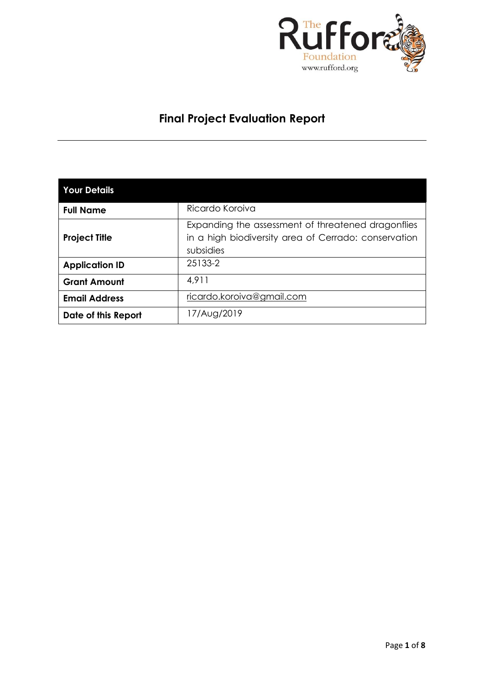

# **Final Project Evaluation Report**

| <b>Your Details</b>   |                                                                                                                         |
|-----------------------|-------------------------------------------------------------------------------------------------------------------------|
| <b>Full Name</b>      | Ricardo Koroiva                                                                                                         |
| <b>Project Title</b>  | Expanding the assessment of threatened dragonflies<br>in a high biodiversity area of Cerrado: conservation<br>subsidies |
| <b>Application ID</b> | 25133-2                                                                                                                 |
| <b>Grant Amount</b>   | 4,911                                                                                                                   |
| <b>Email Address</b>  | ricardo.koroiva@gmail.com                                                                                               |
| Date of this Report   | 17/Aug/2019                                                                                                             |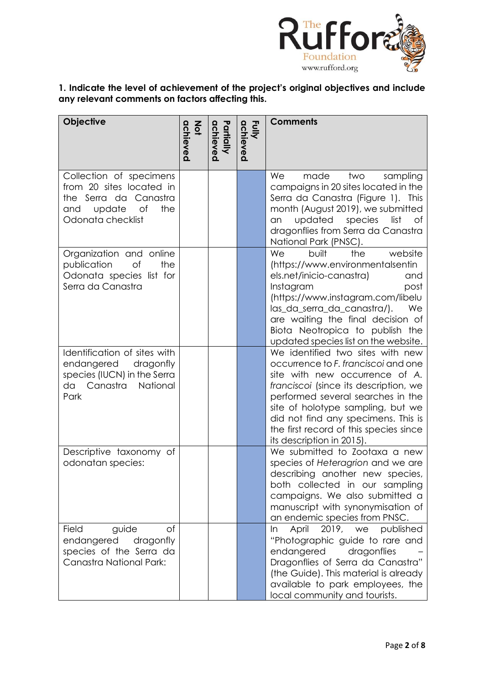

# **1. Indicate the level of achievement of the project's original objectives and include any relevant comments on factors affecting this.**

| Objective                                                                                                                       | achieved<br>$rac{2}{9}$ | Partially<br>achieved | Fully<br>achieved | <b>Comments</b>                                                                                                                                                                                                                                                                                                                            |
|---------------------------------------------------------------------------------------------------------------------------------|-------------------------|-----------------------|-------------------|--------------------------------------------------------------------------------------------------------------------------------------------------------------------------------------------------------------------------------------------------------------------------------------------------------------------------------------------|
| Collection of specimens<br>from 20 sites located in<br>the Serra da Canastra<br>update<br>of<br>the<br>and<br>Odonata checklist |                         |                       |                   | We<br>made<br>two<br>sampling<br>campaigns in 20 sites located in the<br>Serra da Canastra (Figure 1). This<br>month (August 2019), we submitted<br>updated species<br>list<br>of<br>an<br>dragonflies from Serra da Canastra<br>National Park (PNSC).                                                                                     |
| Organization and online<br>publication<br>of<br>the<br>Odonata species list for<br>Serra da Canastra                            |                         |                       |                   | website<br>We<br>built<br>the<br>(https://www.environmentalsentin<br>els.net/inicio-canastra)<br>and<br>Instagram<br>post<br>(https://www.instagram.com/libelu<br>las_da_serra_da_canastra/).<br>We<br>are waiting the final decision of<br>Biota Neotropica to publish the<br>updated species list on the website.                        |
| Identification of sites with<br>endangered<br>dragonfly<br>species (IUCN) in the Serra<br>da<br>Canastra<br>National<br>Park    |                         |                       |                   | We identified two sites with new<br>occurrence to F. franciscoi and one<br>site with new occurrence of A.<br>franciscoi (since its description, we<br>performed several searches in the<br>site of holotype sampling, but we<br>did not find any specimens. This is<br>the first record of this species since<br>its description in 2015). |
| Descriptive taxonomy of<br>odonatan species:                                                                                    |                         |                       |                   | We submitted to Zootaxa a new<br>species of Heteragrion and we are<br>describing another new species,<br>both collected in our sampling<br>campaigns. We also submitted a<br>manuscript with synonymisation of<br>an endemic species from PNSC.                                                                                            |
| of<br>Field<br>guide<br>endangered<br>dragonfly<br>species of the Serra da<br>Canastra National Park:                           |                         |                       |                   | 2019, we<br>April<br>published<br>In.<br>"Photographic guide to rare and<br>endangered<br>dragonflies<br>Dragonflies of Serra da Canastra"<br>(the Guide). This material is already<br>available to park employees, the<br>local community and tourists.                                                                                   |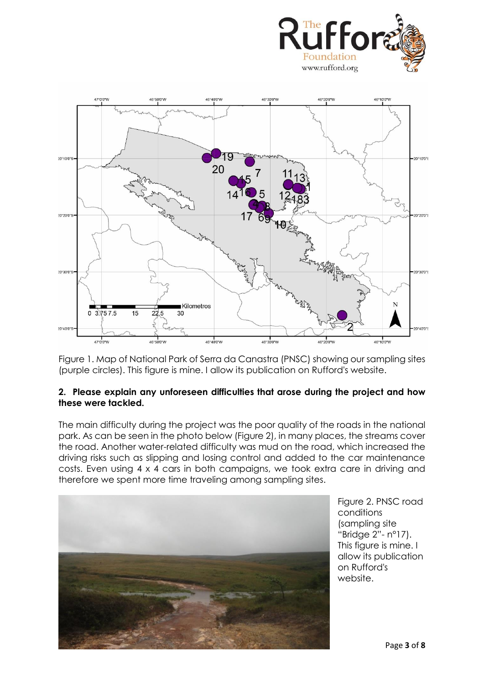



Figure 1. Map of National Park of Serra da Canastra (PNSC) showing our sampling sites (purple circles). This figure is mine. I allow its publication on Rufford's website.

## **2. Please explain any unforeseen difficulties that arose during the project and how these were tackled.**

The main difficulty during the project was the poor quality of the roads in the national park. As can be seen in the photo below (Figure 2), in many places, the streams cover the road. Another water-related difficulty was mud on the road, which increased the driving risks such as slipping and losing control and added to the car maintenance costs. Even using 4 x 4 cars in both campaigns, we took extra care in driving and therefore we spent more time traveling among sampling sites.



Figure 2. PNSC road conditions (sampling site "Bridge 2"- n°17). This figure is mine. I allow its publication on Rufford's website.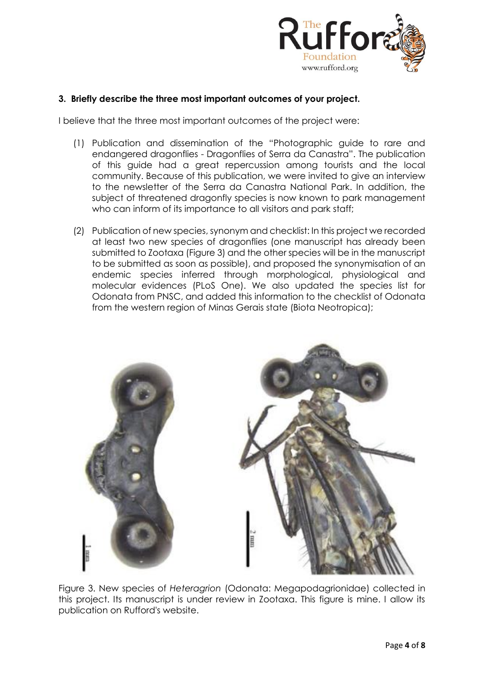

## **3. Briefly describe the three most important outcomes of your project.**

I believe that the three most important outcomes of the project were:

- (1) Publication and dissemination of the "Photographic guide to rare and endangered dragonflies - Dragonflies of Serra da Canastra". The publication of this guide had a great repercussion among tourists and the local community. Because of this publication, we were invited to give an interview to the newsletter of the Serra da Canastra National Park. In addition, the subject of threatened dragonfly species is now known to park management who can inform of its importance to all visitors and park staff;
- (2) Publication of new species, synonym and checklist: In this project we recorded at least two new species of dragonflies (one manuscript has already been submitted to Zootaxa (Figure 3) and the other species will be in the manuscript to be submitted as soon as possible), and proposed the synonymisation of an endemic species inferred through morphological, physiological and molecular evidences (PLoS One). We also updated the species list for Odonata from PNSC, and added this information to the checklist of Odonata from the western region of Minas Gerais state (Biota Neotropica);



Figure 3. New species of *Heteragrion* (Odonata: Megapodagrionidae) collected in this project. Its manuscript is under review in Zootaxa. This figure is mine. I allow its publication on Rufford's website.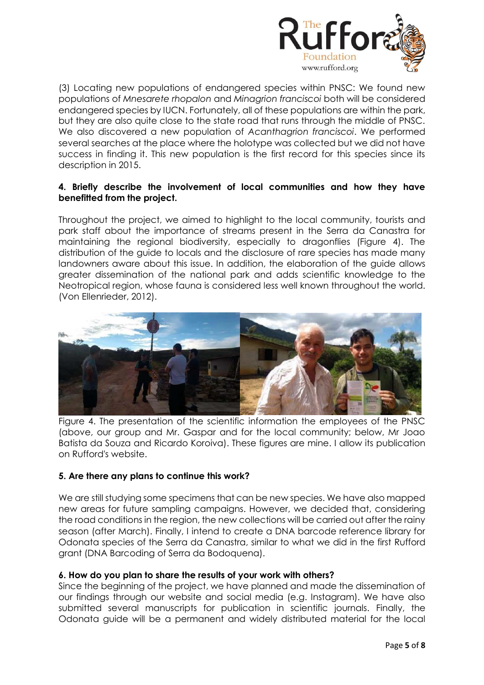

(3) Locating new populations of endangered species within PNSC: We found new populations of *Mnesarete rhopalon* and *Minagrion franciscoi* both will be considered endangered species by IUCN. Fortunately, all of these populations are within the park, but they are also quite close to the state road that runs through the middle of PNSC. We also discovered a new population of *Acanthagrion franciscoi*. We performed several searches at the place where the holotype was collected but we did not have success in finding it. This new population is the first record for this species since its description in 2015.

## **4. Briefly describe the involvement of local communities and how they have benefitted from the project.**

Throughout the project, we aimed to highlight to the local community, tourists and park staff about the importance of streams present in the Serra da Canastra for maintaining the regional biodiversity, especially to dragonflies (Figure 4). The distribution of the guide to locals and the disclosure of rare species has made many landowners aware about this issue. In addition, the elaboration of the guide allows greater dissemination of the national park and adds scientific knowledge to the Neotropical region, whose fauna is considered less well known throughout the world. (Von Ellenrieder, 2012).



Figure 4. The presentation of the scientific information the employees of the PNSC (above, our group and Mr. Gaspar and for the local community; below, Mr Joao Batista da Souza and Ricardo Koroiva). These figures are mine. I allow its publication on Rufford's website.

## **5. Are there any plans to continue this work?**

We are still studying some specimens that can be new species. We have also mapped new areas for future sampling campaigns. However, we decided that, considering the road conditions in the region, the new collections will be carried out after the rainy season (after March). Finally, I intend to create a DNA barcode reference library for Odonata species of the Serra da Canastra, similar to what we did in the first Rufford grant (DNA Barcoding of Serra da Bodoquena).

#### **6. How do you plan to share the results of your work with others?**

Since the beginning of the project, we have planned and made the dissemination of our findings through our website and social media (e.g. Instagram). We have also submitted several manuscripts for publication in scientific journals. Finally, the Odonata guide will be a permanent and widely distributed material for the local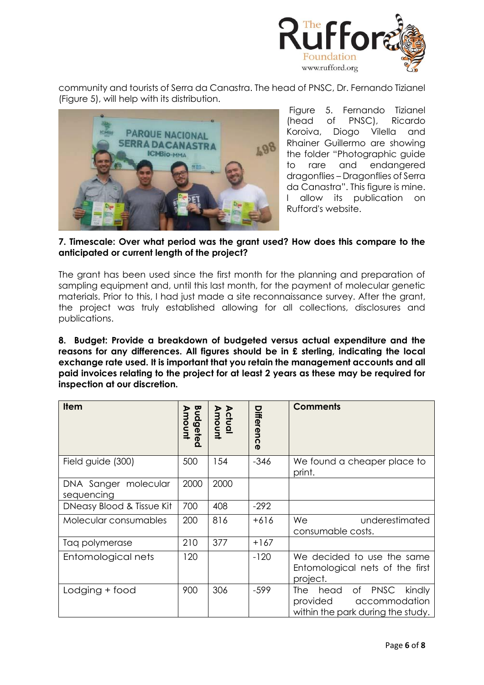

community and tourists of Serra da Canastra. The head of PNSC, Dr. Fernando Tizianel (Figure 5), will help with its distribution.



Figure 5. Fernando Tizianel (head of PNSC), Ricardo Koroiva, Diogo Vilella and Rhainer Guillermo are showing the folder "Photographic guide to rare and endangered dragonflies – Dragonflies of Serra da Canastra". This figure is mine. I allow its publication on Rufford's website.

#### **7. Timescale: Over what period was the grant used? How does this compare to the anticipated or current length of the project?**

The grant has been used since the first month for the planning and preparation of sampling equipment and, until this last month, for the payment of molecular genetic materials. Prior to this, I had just made a site reconnaissance survey. After the grant, the project was truly established allowing for all collections, disclosures and publications.

**8. Budget: Provide a breakdown of budgeted versus actual expenditure and the reasons for any differences. All figures should be in £ sterling, indicating the local exchange rate used. It is important that you retain the management accounts and all paid invoices relating to the project for at least 2 years as these may be required for inspection at our discretion.**

| <b>Item</b>                        | Budgeted<br>Amount | <b>Actual</b><br>Amount | Difference | <b>Comments</b>                                                                                 |
|------------------------------------|--------------------|-------------------------|------------|-------------------------------------------------------------------------------------------------|
| Field guide (300)                  | 500                | 154                     | $-346$     | We found a cheaper place to<br>print.                                                           |
| DNA Sanger molecular<br>sequencing | 2000               | 2000                    |            |                                                                                                 |
| DNeasy Blood & Tissue Kit          | 700                | 408                     | $-292$     |                                                                                                 |
| Molecular consumables              | 200                | 816                     | $+616$     | We<br>underestimated<br>consumable costs.                                                       |
| Taq polymerase                     | 210                | 377                     | $+167$     |                                                                                                 |
| Entomological nets                 | 120                |                         | $-120$     | We decided to use the same<br>Entomological nets of the first<br>project.                       |
| Lodging + food                     | 900                | 306                     | $-599$     | of PNSC kindly<br>The<br>head<br>provided<br>accommodation<br>within the park during the study. |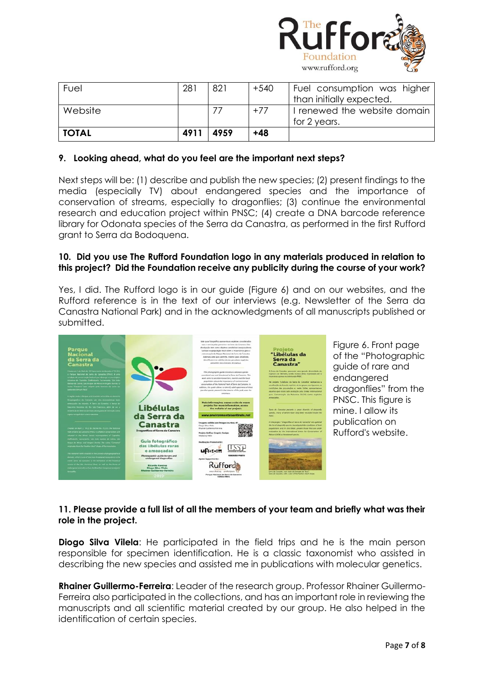

| Fuel         | 281  | 821  | +540  | Fuel consumption was higher<br>than initially expected. |
|--------------|------|------|-------|---------------------------------------------------------|
| Website      |      |      | $+77$ | I renewed the website domain<br>for 2 years.            |
| <b>TOTAL</b> | 4911 | 4959 | $+48$ |                                                         |

## **9. Looking ahead, what do you feel are the important next steps?**

Next steps will be: (1) describe and publish the new species; (2) present findings to the media (especially TV) about endangered species and the importance of conservation of streams, especially to dragonflies; (3) continue the environmental research and education project within PNSC; (4) create a DNA barcode reference library for Odonata species of the Serra da Canastra, as performed in the first Rufford grant to Serra da Bodoquena.

## **10. Did you use The Rufford Foundation logo in any materials produced in relation to this project? Did the Foundation receive any publicity during the course of your work?**

Yes, I did. The Rufford logo is in our guide (Figure 6) and on our websites, and the Rufford reference is in the text of our interviews (e.g. Newsletter of the Serra da Canastra National Park) and in the acknowledgments of all manuscripts published or submitted.



Figure 6. Front page of the "Photographic guide of rare and endangered dragonflies" from the PNSC. This figure is mine. I allow its publication on Rufford's website.

## **11. Please provide a full list of all the members of your team and briefly what was their role in the project.**

**Diogo Silva Vilela**: He participated in the field trips and he is the main person responsible for specimen identification. He is a classic taxonomist who assisted in describing the new species and assisted me in publications with molecular genetics.

**Rhainer Guillermo-Ferreira**: Leader of the research group. Professor Rhainer Guillermo-Ferreira also participated in the collections, and has an important role in reviewing the manuscripts and all scientific material created by our group. He also helped in the identification of certain species.